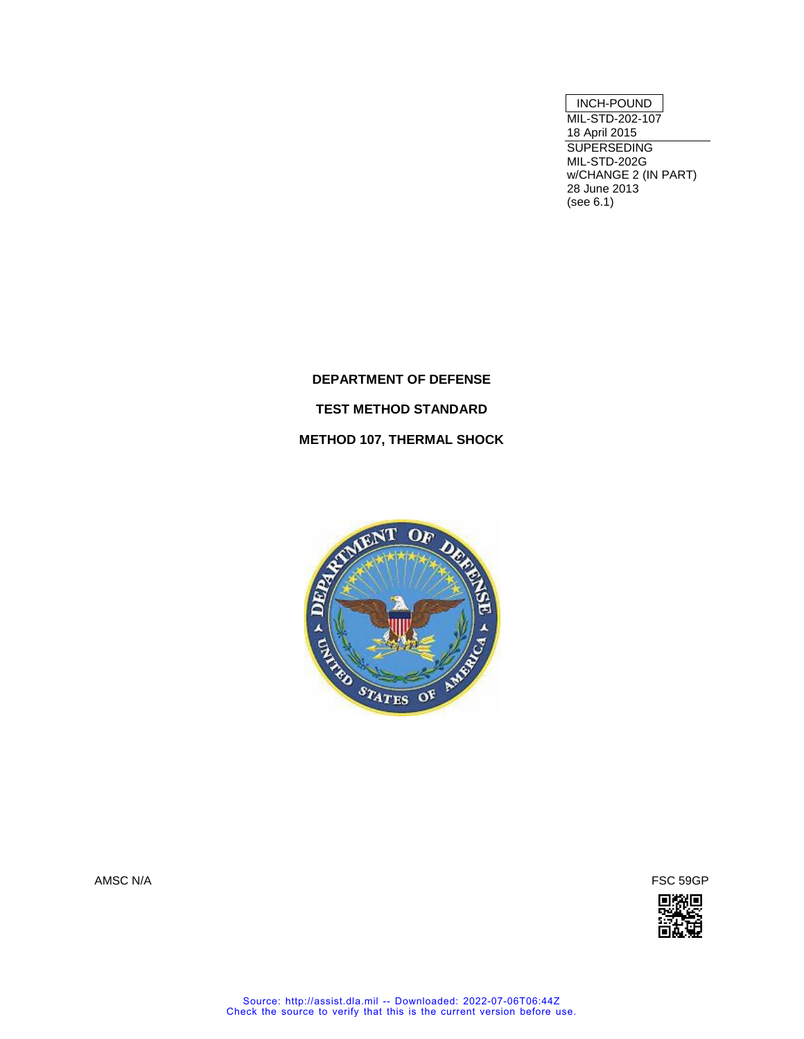## INCH-POUND

MIL-STD-202-107 18 April 2015 SUPERSEDING MIL-STD-202G w/CHANGE 2 (IN PART) 28 June 2013 (see 6.1)

**DEPARTMENT OF DEFENSE TEST METHOD STANDARD METHOD 107, THERMAL SHOCK**





AMSC N/A FSC 59GP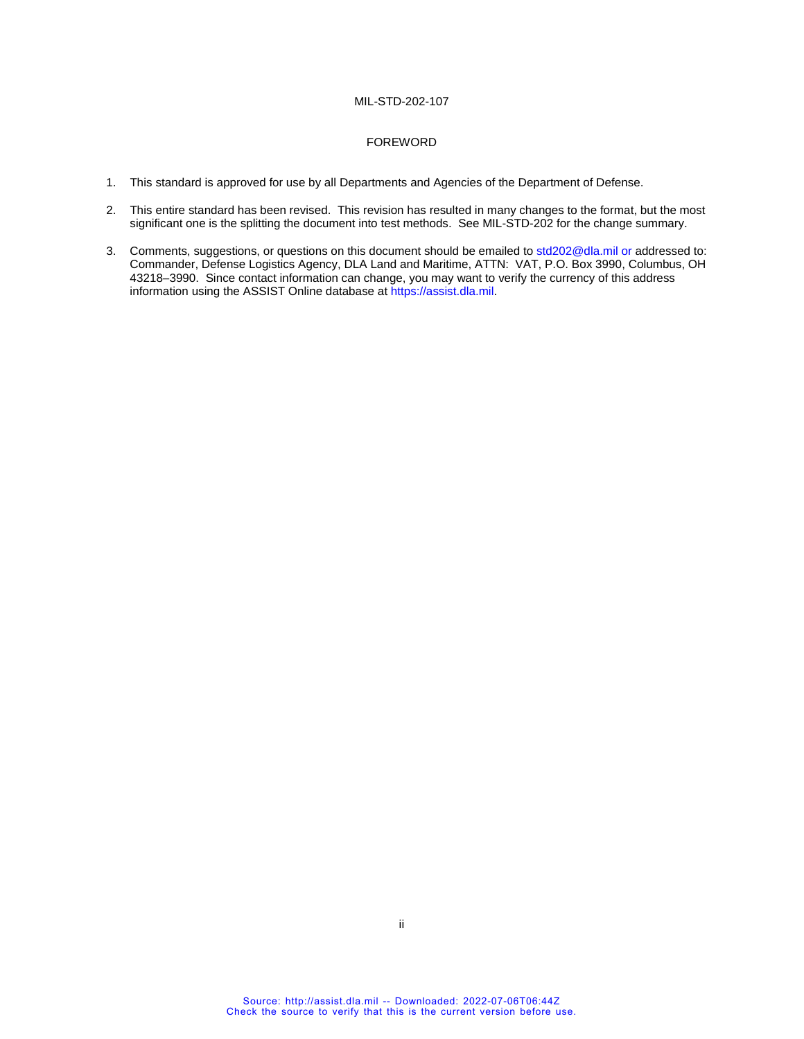#### FOREWORD

- 1. This standard is approved for use by all Departments and Agencies of the Department of Defense.
- 2. This entire standard has been revised. This revision has resulted in many changes to the format, but the most significant one is the splitting the document into test methods. See MIL-STD-202 for the change summary.
- 3. Comments, suggestions, or questions on this document should be emailed t[o std202@dla.mil](mailto:std202@dla.mil) or addressed to: Commander, Defense Logistics Agency, DLA Land and Maritime, ATTN: VAT, P.O. Box 3990, Columbus, OH 43218–3990. Since contact information can change, you may want to verify the currency of this address information using the ASSIST Online database a[t https://assist.dla.mil.](https://assist.dla.mil/)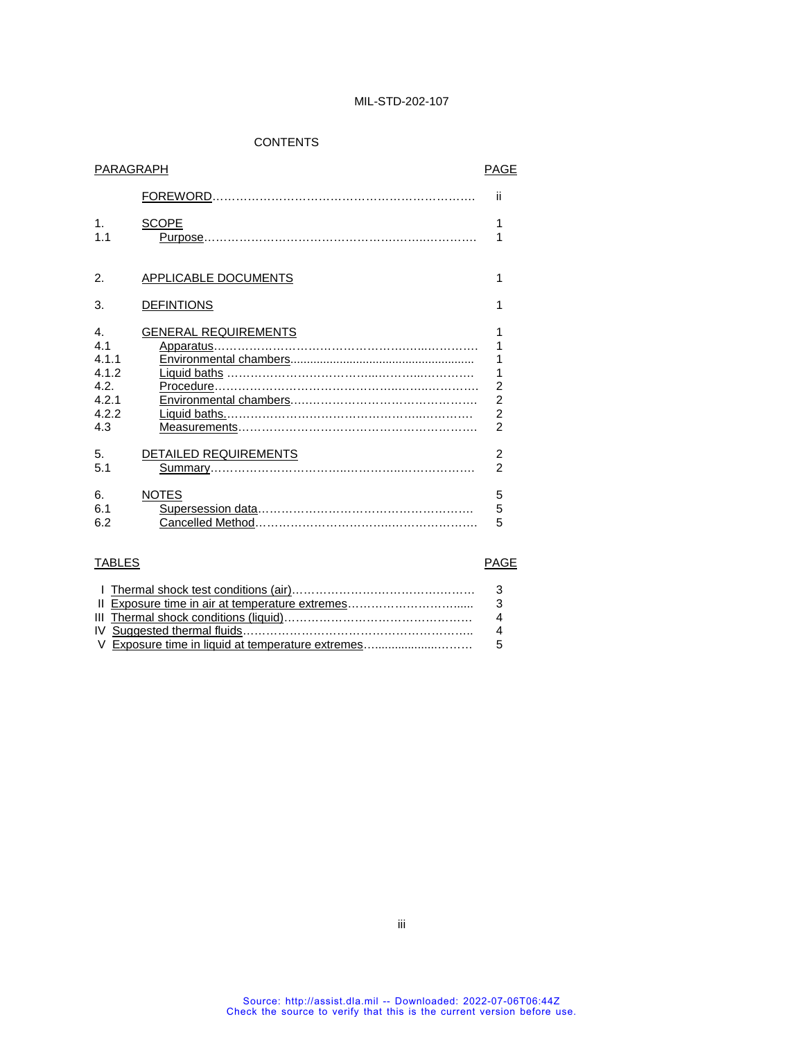# CONTENTS

| PARAGRAPH      |                             | <b>PAGE</b>    |
|----------------|-----------------------------|----------------|
|                |                             | ii             |
| 1 <sub>1</sub> | <b>SCOPE</b>                | 1              |
| 1.1            |                             | 1              |
| 2.             | <b>APPLICABLE DOCUMENTS</b> | 1              |
| 3.             | <b>DEFINTIONS</b>           | 1              |
| $\mathbf{4}$   | <b>GENERAL REQUIREMENTS</b> | 1              |
| 4 <sub>1</sub> |                             | 1              |
| 4.1.1          |                             | $\overline{1}$ |
| 4.1.2          |                             | 1              |
| 4.2.           |                             | $\overline{a}$ |
| 4.2.1          |                             | $\overline{a}$ |
| 4.2.2          |                             | $\overline{2}$ |
| 4.3            |                             | $\overline{2}$ |
| 5.             | DETAILED REQUIREMENTS       | $\overline{2}$ |
| 5.1            |                             | $\mathfrak{p}$ |
| 6.             | <b>NOTES</b>                | 5              |
| 6.1            |                             | 5              |
| 6.2            |                             | 5              |

# TABLES PAGE

|  | $\overline{\mathbf{A}}$ |
|--|-------------------------|
|  | $\overline{\mathbf{A}}$ |
|  |                         |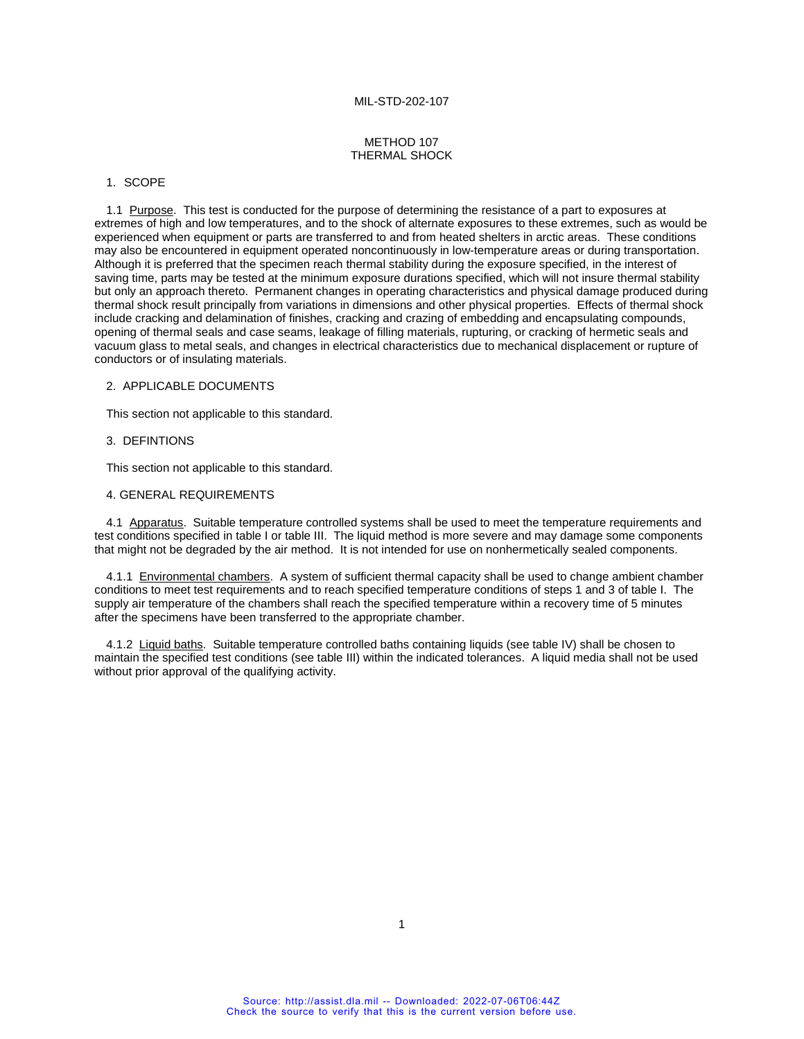#### METHOD 107 THERMAL SHOCK

### 1. SCOPE

1.1 Purpose. This test is conducted for the purpose of determining the resistance of a part to exposures at extremes of high and low temperatures, and to the shock of alternate exposures to these extremes, such as would be experienced when equipment or parts are transferred to and from heated shelters in arctic areas. These conditions may also be encountered in equipment operated noncontinuously in low-temperature areas or during transportation. Although it is preferred that the specimen reach thermal stability during the exposure specified, in the interest of saving time, parts may be tested at the minimum exposure durations specified, which will not insure thermal stability but only an approach thereto. Permanent changes in operating characteristics and physical damage produced during thermal shock result principally from variations in dimensions and other physical properties. Effects of thermal shock include cracking and delamination of finishes, cracking and crazing of embedding and encapsulating compounds, opening of thermal seals and case seams, leakage of filling materials, rupturing, or cracking of hermetic seals and vacuum glass to metal seals, and changes in electrical characteristics due to mechanical displacement or rupture of conductors or of insulating materials.

#### 2. APPLICABLE DOCUMENTS

This section not applicable to this standard.

### 3. DEFINTIONS

This section not applicable to this standard.

#### 4. GENERAL REQUIREMENTS

4.1 Apparatus. Suitable temperature controlled systems shall be used to meet the temperature requirements and test conditions specified in table I or table III. The liquid method is more severe and may damage some components that might not be degraded by the air method. It is not intended for use on nonhermetically sealed components.

4.1.1 Environmental chambers. A system of sufficient thermal capacity shall be used to change ambient chamber conditions to meet test requirements and to reach specified temperature conditions of steps 1 and 3 of table I. The supply air temperature of the chambers shall reach the specified temperature within a recovery time of 5 minutes after the specimens have been transferred to the appropriate chamber.

4.1.2 Liquid baths. Suitable temperature controlled baths containing liquids (see table IV) shall be chosen to maintain the specified test conditions (see table III) within the indicated tolerances. A liquid media shall not be used without prior approval of the qualifying activity.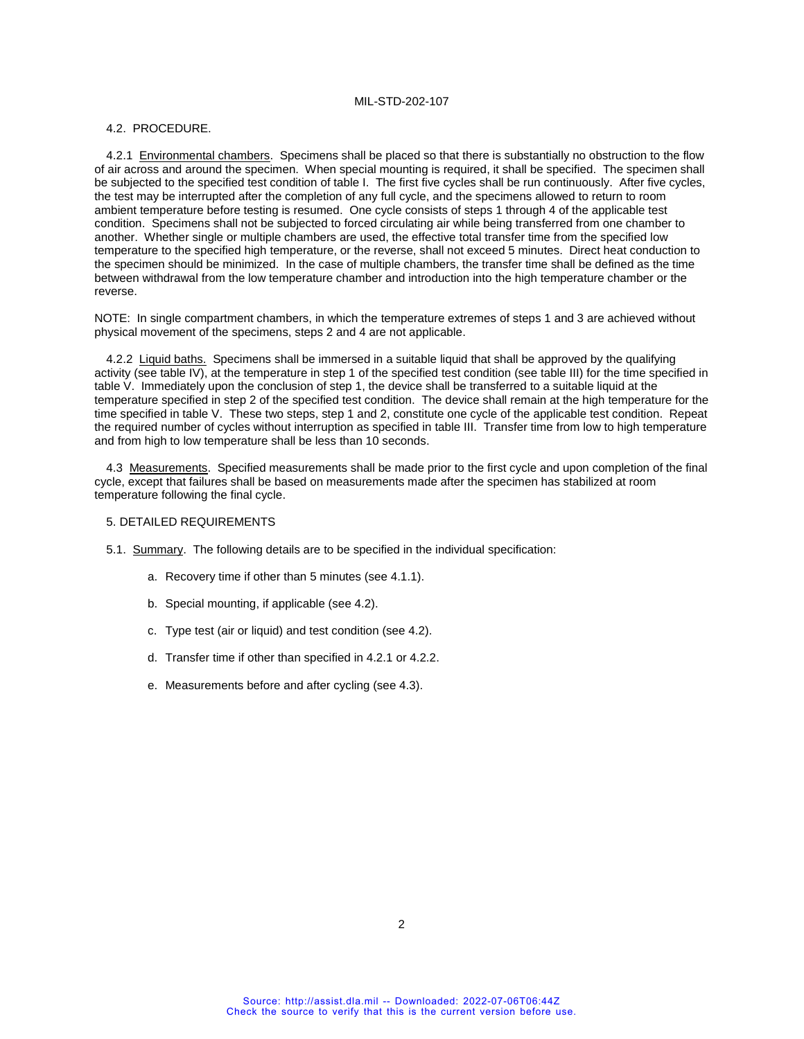#### 4.2. PROCEDURE.

4.2.1 Environmental chambers. Specimens shall be placed so that there is substantially no obstruction to the flow of air across and around the specimen. When special mounting is required, it shall be specified. The specimen shall be subjected to the specified test condition of table I. The first five cycles shall be run continuously. After five cycles, the test may be interrupted after the completion of any full cycle, and the specimens allowed to return to room ambient temperature before testing is resumed. One cycle consists of steps 1 through 4 of the applicable test condition. Specimens shall not be subjected to forced circulating air while being transferred from one chamber to another. Whether single or multiple chambers are used, the effective total transfer time from the specified low temperature to the specified high temperature, or the reverse, shall not exceed 5 minutes. Direct heat conduction to the specimen should be minimized. In the case of multiple chambers, the transfer time shall be defined as the time between withdrawal from the low temperature chamber and introduction into the high temperature chamber or the reverse.

NOTE: In single compartment chambers, in which the temperature extremes of steps 1 and 3 are achieved without physical movement of the specimens, steps 2 and 4 are not applicable.

4.2.2 Liquid baths. Specimens shall be immersed in a suitable liquid that shall be approved by the qualifying activity (see table IV), at the temperature in step 1 of the specified test condition (see table III) for the time specified in table V. Immediately upon the conclusion of step 1, the device shall be transferred to a suitable liquid at the temperature specified in step 2 of the specified test condition. The device shall remain at the high temperature for the time specified in table V. These two steps, step 1 and 2, constitute one cycle of the applicable test condition. Repeat the required number of cycles without interruption as specified in table III. Transfer time from low to high temperature and from high to low temperature shall be less than 10 seconds.

4.3 Measurements. Specified measurements shall be made prior to the first cycle and upon completion of the final cycle, except that failures shall be based on measurements made after the specimen has stabilized at room temperature following the final cycle.

#### 5. DETAILED REQUIREMENTS

- 5.1. Summary. The following details are to be specified in the individual specification:
	- a. Recovery time if other than 5 minutes (see 4.1.1).
	- b. Special mounting, if applicable (see 4.2).
	- c. Type test (air or liquid) and test condition (see 4.2).
	- d. Transfer time if other than specified in 4.2.1 or 4.2.2.
	- e. Measurements before and after cycling (see 4.3).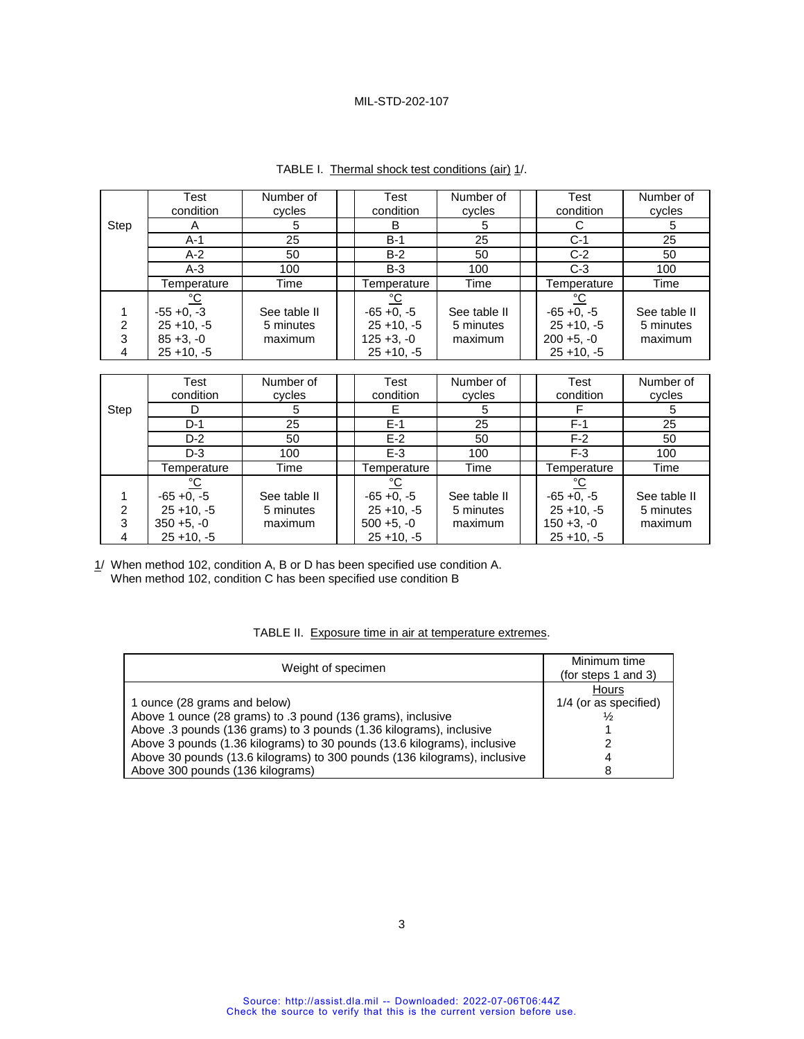|      | Test<br>condition       | Number of<br>cycles | Test<br>condition     | Number of<br>cycles | <b>Test</b><br>condition | Number of<br>cycles |
|------|-------------------------|---------------------|-----------------------|---------------------|--------------------------|---------------------|
|      |                         |                     |                       |                     |                          |                     |
| Step | A                       | 5                   | В                     | 5                   |                          | 5                   |
|      | $A-1$                   | 25                  | $B-1$                 | 25                  | $C-1$                    | 25                  |
|      | $A-2$                   | 50                  | $B-2$                 | 50                  | $C-2$                    | 50                  |
|      | $A-3$                   | 100                 | $B-3$                 | 100                 | $C-3$                    | 100                 |
|      | Temperature             | Time                | Temperature           | Time                | Temperature              | Time                |
|      | $\underline{^{\circ}C}$ |                     | $\frac{^{\circ}C}{ }$ |                     | $\frac{1}{2}$            |                     |
|      | $-55 + 0, -3$           | See table II        | $-65 + 0$ , $-5$      | See table II        | $-65 + 0, -5$            | See table II        |
| 2    | $25 + 10, -5$           | 5 minutes           | $25 + 10, -5$         | 5 minutes           | $25 + 10, -5$            | 5 minutes           |
| 3    | $85 + 3, -0$            | maximum             | $125 + 3, -0$         | maximum             | $200 + 5, -0$            | maximum             |
| 4    | $25 + 10, -5$           |                     | $25 + 10, -5$         |                     | $25 + 10, -5$            |                     |

| TABLE I. Thermal shock test conditions (air) 1/. |  |  |
|--------------------------------------------------|--|--|
|--------------------------------------------------|--|--|

|      | Test          | Number of    | Test          | Number of    | Test          | Number of    |
|------|---------------|--------------|---------------|--------------|---------------|--------------|
|      | condition     | cycles       | condition     | cycles       | condition     | cycles       |
| Step |               | 5            | E             | 5            |               | 5            |
|      | $D-1$         | 25           | $E-1$         | 25           | $F-1$         | 25           |
|      | $D-2$         | 50           | $E-2$         | 50           | $F-2$         | 50           |
|      | $D-3$         | 100          | $E-3$         | 100          | $F-3$         | 100          |
|      | Temperature   | Time         | Temperature   | Time         | Temperature   | Time         |
|      |               |              | $\frac{1}{2}$ |              | °C            |              |
|      | $-65 + 0, -5$ | See table II | $-65 +0, -5$  | See table II | $-65 + 0, -5$ | See table II |
|      | $25 + 10, -5$ | 5 minutes    | $25 + 10, -5$ | 5 minutes    | $25 + 10, -5$ | 5 minutes    |
| 3    | $350 + 5, -0$ | maximum      | $500 + 5, -0$ | maximum      | $150 + 3, -0$ | maximum      |
|      | $25 + 10, -5$ |              | $25 + 10, -5$ |              | $25 + 10, -5$ |              |

1/ When method 102, condition A, B or D has been specified use condition A. When method 102, condition C has been specified use condition B

#### TABLE II. Exposure time in air at temperature extremes.

| Weight of specimen                                                                                                                                                                                                                                                                                                                                              | Minimum time<br>(for steps 1 and 3)           |
|-----------------------------------------------------------------------------------------------------------------------------------------------------------------------------------------------------------------------------------------------------------------------------------------------------------------------------------------------------------------|-----------------------------------------------|
| 1 ounce (28 grams and below)<br>Above 1 ounce (28 grams) to .3 pound (136 grams), inclusive<br>Above .3 pounds (136 grams) to 3 pounds (1.36 kilograms), inclusive<br>Above 3 pounds (1.36 kilograms) to 30 pounds (13.6 kilograms), inclusive<br>Above 30 pounds (13.6 kilograms) to 300 pounds (136 kilograms), inclusive<br>Above 300 pounds (136 kilograms) | Hours<br>1/4 (or as specified)<br>⅓<br>4<br>8 |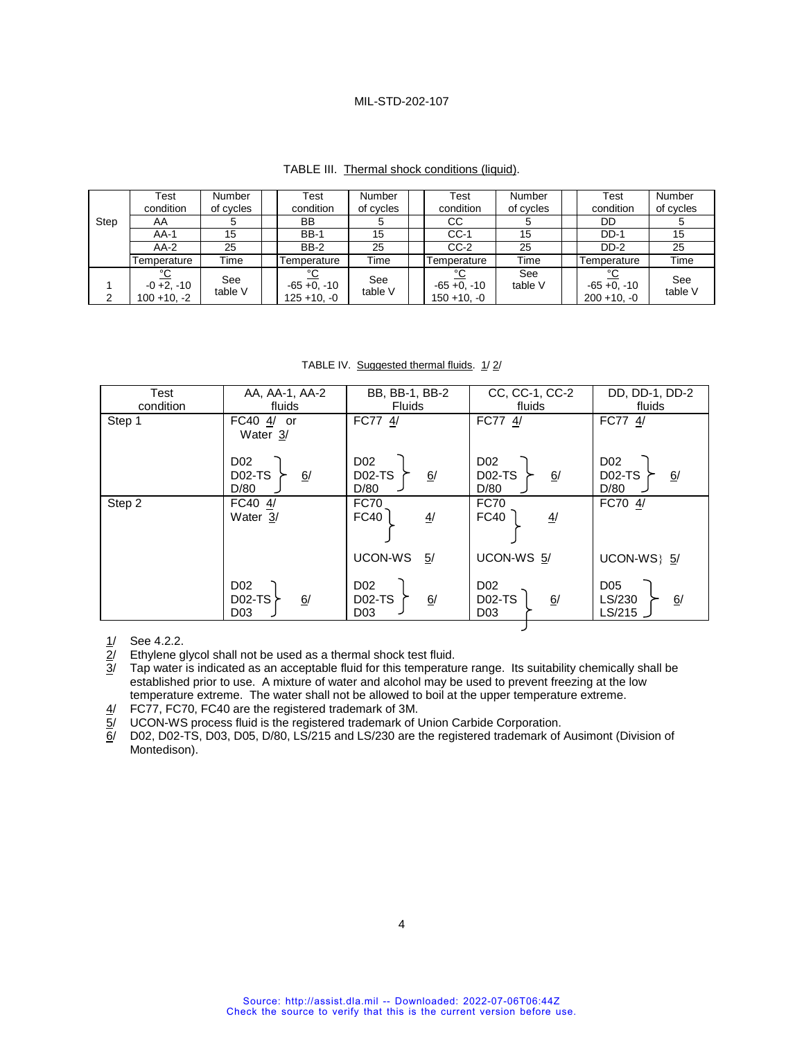| TABLE III. Thermal shock conditions (liquid). |  |
|-----------------------------------------------|--|
|-----------------------------------------------|--|

|      | Test<br>condition                            | Number<br>of cycles | Test<br>condition                         | <b>Number</b><br>of cycles | Test<br>condition                      | Number<br>of cycles | Test<br>condition                             | Number<br>of cycles |
|------|----------------------------------------------|---------------------|-------------------------------------------|----------------------------|----------------------------------------|---------------------|-----------------------------------------------|---------------------|
| Step | AA                                           |                     | BB                                        |                            | CC.                                    | G                   | DD                                            |                     |
|      | $AA-1$                                       | 15                  | <b>BB-1</b>                               | 15                         | $CC-1$                                 | 15                  | $DD-1$                                        | 15                  |
|      | $AA-2$                                       | 25                  | <b>BB-2</b>                               | 25                         | $CC-2$                                 | 25                  | DD-2                                          | 25                  |
|      | Temperature                                  | Time                | Temperature                               | Time                       | Temperature                            | Time                | Temperature                                   | Time                |
|      | <u>°С</u><br>$-0 + 2, -10$<br>$100 + 10, -2$ | See<br>table V      | ∘∩<br>$-65 + 0$ , $-10$<br>$125 + 10, -0$ | See<br>table V             | °C<br>$-65 + 0, -10$<br>$150 + 10, -0$ | See<br>table V      | $\sim$<br>$-65 + 0$ , $-10$<br>$200 + 10, -0$ | See<br>table V      |

TABLE IV. Suggested thermal fluids. 1/2/

| Test      | AA, AA-1, AA-2                                       | BB, BB-1, BB-2                                            | CC, CC-1, CC-2                                            | DD, DD-1, DD-2                                 |
|-----------|------------------------------------------------------|-----------------------------------------------------------|-----------------------------------------------------------|------------------------------------------------|
| condition | fluids                                               | <b>Fluids</b>                                             | fluids                                                    | fluids                                         |
| Step 1    | FC40 $\frac{4}{1}$ or<br>Water 3/                    | FC77 4/                                                   | FC77 4/                                                   | FC77 4/                                        |
|           | D <sub>02</sub><br>6/<br><b>D02-TS</b><br>D/80       | D <sub>02</sub><br><b>D02-TS</b><br>6/<br>D/80            | D <sub>02</sub><br>6/<br><b>D02-TS</b><br>D/80            | D <sub>02</sub><br><b>D02-TS</b><br>6/<br>D/80 |
| Step 2    | FC40 4/<br>Water 3/                                  | <b>FC70</b><br>FC40<br>$\overline{4}$                     | <b>FC70</b><br><b>FC40</b><br>$\frac{4}{1}$               | FC70 4/                                        |
|           |                                                      | UCON-WS<br>5/                                             | UCON-WS 5/                                                | UCON-WS} 5/                                    |
|           | D <sub>02</sub><br>6/<br>$D02-TS$<br>D <sub>03</sub> | D <sub>02</sub><br>6/<br><b>D02-TS</b><br>D <sub>03</sub> | D <sub>02</sub><br><b>D02-TS</b><br>6/<br>D <sub>03</sub> | D <sub>05</sub><br>6/<br>LS/230<br>LS/215      |
|           |                                                      |                                                           |                                                           |                                                |

Ethylene glycol shall not be used as a thermal shock test fluid.

 $\frac{1}{2}$  See 4.2.2.<br> $\frac{2}{3}$  Ethylene g<br> $\frac{3}{3}$  Tap water Tap water is indicated as an acceptable fluid for this temperature range. Its suitability chemically shall be established prior to use. A mixture of water and alcohol may be used to prevent freezing at the low temperature extreme. The water shall not be allowed to boil at the upper temperature extreme.

4/ FC77, FC70, FC40 are the registered trademark of 3M.

 $\overline{5}$ / UCON-WS process fluid is the registered trademark of Union Carbide Corporation.<br> $\overline{6}$ / D02, D02-TS, D03, D05, D/80, LS/215 and LS/230 are the registered trademark of

D02, D02-TS, D03, D05, D/80, LS/215 and LS/230 are the registered trademark of Ausimont (Division of Montedison).